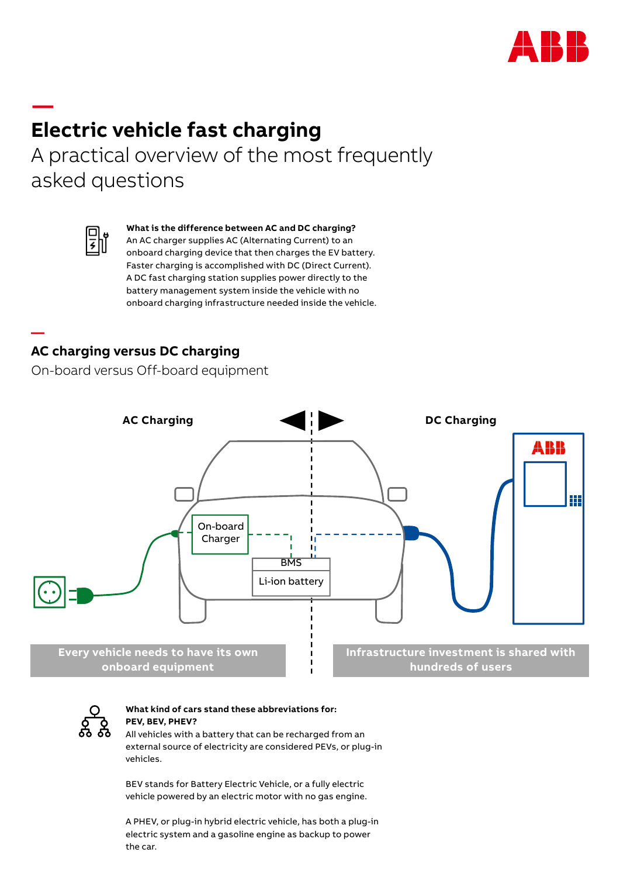

## **— Electric vehicle fast charging** A practical overview of the most frequently

asked questions



**—** 

**What is the difference between AC and DC charging?** 

An AC charger supplies AC (Alternating Current) to an onboard charging device that then charges the EV battery. Faster charging is accomplished with DC (Direct Current). A DC fast charging station supplies power directly to the battery management system inside the vehicle with no onboard charging infrastructure needed inside the vehicle.

# **AC charging versus DC charging AC charging versus DC charging**

On-board versus Off-board equipment On-board versus Off-board equipment





#### **What kind of cars stand these abbreviations for: PEV, BEV, PHEV?**

All vehicles with a battery that can be recharged from an external source of electricity are considered PEVs, or plug-in vehicles.

BEV stands for Battery Electric Vehicle, or a fully electric vehicle powered by an electric motor with no gas engine.

A PHEV, or plug-in hybrid electric vehicle, has both a plug-in electric system and a gasoline engine as backup to power the car.